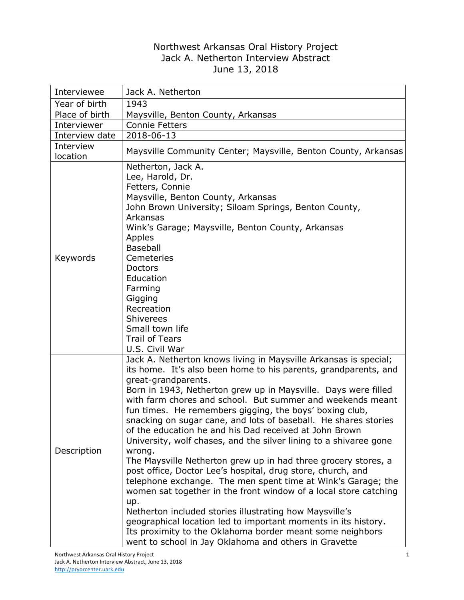## Northwest Arkansas Oral History Project Jack A. Netherton Interview Abstract June 13, 2018

| Interviewee           | Jack A. Netherton                                                                                                                                                                                                                                                                                                                                                                                                                                                                                                                                                                                                                                                                                                                                                                                                                                                                                                                                                                                                                                                                                |
|-----------------------|--------------------------------------------------------------------------------------------------------------------------------------------------------------------------------------------------------------------------------------------------------------------------------------------------------------------------------------------------------------------------------------------------------------------------------------------------------------------------------------------------------------------------------------------------------------------------------------------------------------------------------------------------------------------------------------------------------------------------------------------------------------------------------------------------------------------------------------------------------------------------------------------------------------------------------------------------------------------------------------------------------------------------------------------------------------------------------------------------|
| Year of birth         | 1943                                                                                                                                                                                                                                                                                                                                                                                                                                                                                                                                                                                                                                                                                                                                                                                                                                                                                                                                                                                                                                                                                             |
| Place of birth        | Maysville, Benton County, Arkansas                                                                                                                                                                                                                                                                                                                                                                                                                                                                                                                                                                                                                                                                                                                                                                                                                                                                                                                                                                                                                                                               |
| Interviewer           | <b>Connie Fetters</b>                                                                                                                                                                                                                                                                                                                                                                                                                                                                                                                                                                                                                                                                                                                                                                                                                                                                                                                                                                                                                                                                            |
| Interview date        | 2018-06-13                                                                                                                                                                                                                                                                                                                                                                                                                                                                                                                                                                                                                                                                                                                                                                                                                                                                                                                                                                                                                                                                                       |
| Interview<br>location | Maysville Community Center; Maysville, Benton County, Arkansas                                                                                                                                                                                                                                                                                                                                                                                                                                                                                                                                                                                                                                                                                                                                                                                                                                                                                                                                                                                                                                   |
| Keywords              | Netherton, Jack A.<br>Lee, Harold, Dr.<br>Fetters, Connie<br>Maysville, Benton County, Arkansas<br>John Brown University; Siloam Springs, Benton County,<br>Arkansas<br>Wink's Garage; Maysville, Benton County, Arkansas<br>Apples<br><b>Baseball</b><br>Cemeteries<br>Doctors<br>Education<br>Farming<br>Gigging<br>Recreation<br><b>Shiverees</b><br>Small town life<br><b>Trail of Tears</b><br>U.S. Civil War                                                                                                                                                                                                                                                                                                                                                                                                                                                                                                                                                                                                                                                                               |
| Description           | Jack A. Netherton knows living in Maysville Arkansas is special;<br>its home. It's also been home to his parents, grandparents, and<br>great-grandparents.<br>Born in 1943, Netherton grew up in Maysville. Days were filled<br>with farm chores and school. But summer and weekends meant<br>fun times. He remembers gigging, the boys' boxing club,<br>snacking on sugar cane, and lots of baseball. He shares stories<br>of the education he and his Dad received at John Brown<br>University, wolf chases, and the silver lining to a shivaree gone<br>wrong.<br>The Maysville Netherton grew up in had three grocery stores, a<br>post office, Doctor Lee's hospital, drug store, church, and<br>telephone exchange. The men spent time at Wink's Garage; the<br>women sat together in the front window of a local store catching<br>up.<br>Netherton included stories illustrating how Maysville's<br>geographical location led to important moments in its history.<br>Its proximity to the Oklahoma border meant some neighbors<br>went to school in Jay Oklahoma and others in Gravette |